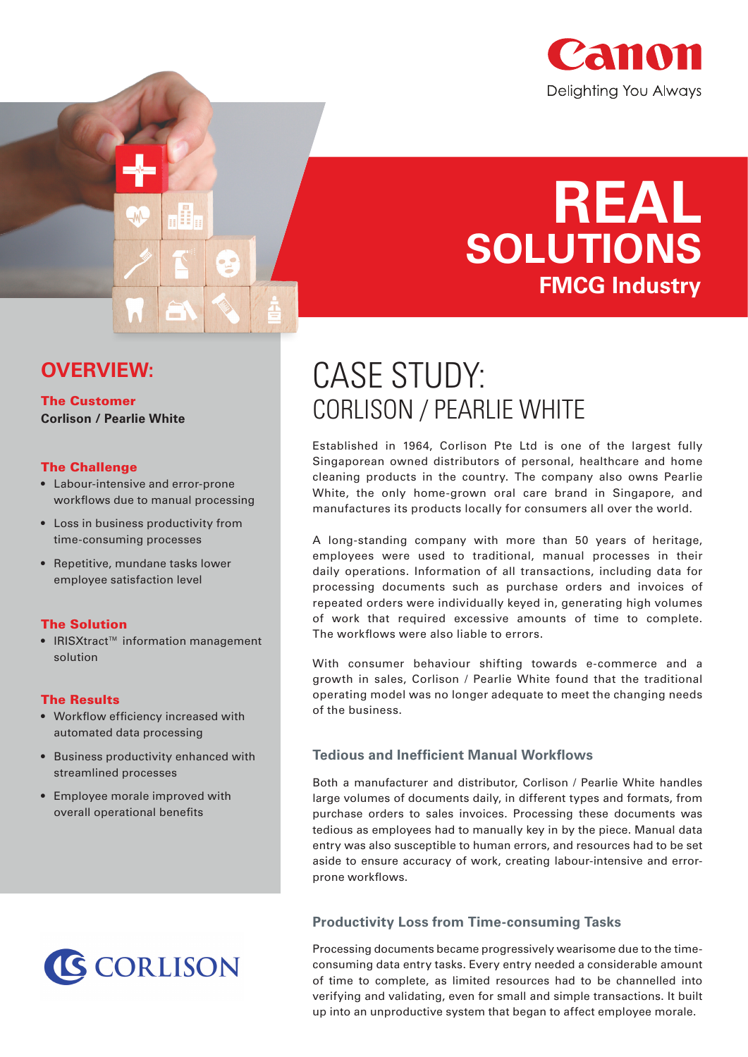

# **REAL SOLUTIONS FMCG Industry**

## CASE STUDY: CORLISON / PEARLIE WHITE

Established in 1964, Corlison Pte Ltd is one of the largest fully Singaporean owned distributors of personal, healthcare and home cleaning products in the country. The company also owns Pearlie White, the only home-grown oral care brand in Singapore, and manufactures its products locally for consumers all over the world.

A long-standing company with more than 50 years of heritage, employees were used to traditional, manual processes in their daily operations. Information of all transactions, including data for processing documents such as purchase orders and invoices of repeated orders were individually keyed in, generating high volumes of work that required excessive amounts of time to complete. The workflows were also liable to errors.

With consumer behaviour shifting towards e-commerce and a growth in sales, Corlison / Pearlie White found that the traditional operating model was no longer adequate to meet the changing needs of the business.

#### **Tedious and Inefficient Manual Workflows**

Both a manufacturer and distributor, Corlison / Pearlie White handles large volumes of documents daily, in different types and formats, from purchase orders to sales invoices. Processing these documents was tedious as employees had to manually key in by the piece. Manual data entry was also susceptible to human errors, and resources had to be set aside to ensure accuracy of work, creating labour-intensive and errorprone workflows.

#### **Productivity Loss from Time-consuming Tasks**

Processing documents became progressively wearisome due to the timeconsuming data entry tasks. Every entry needed a considerable amount of time to complete, as limited resources had to be channelled into verifying and validating, even for small and simple transactions. It built up into an unproductive system that began to affect employee morale.

### **OVERVIEW:**

#### The Customer **Corlison / Pearlie White**

#### The Challenge

- Labour-intensive and error-prone workflows due to manual processing
- Loss in business productivity from time-consuming processes
- Repetitive, mundane tasks lower employee satisfaction level

#### The Solution

• IRISXtract™ information management solution

#### The Results

- Workflow efficiency increased with automated data processing
- Business productivity enhanced with streamlined processes
- Employee morale improved with overall operational benefits